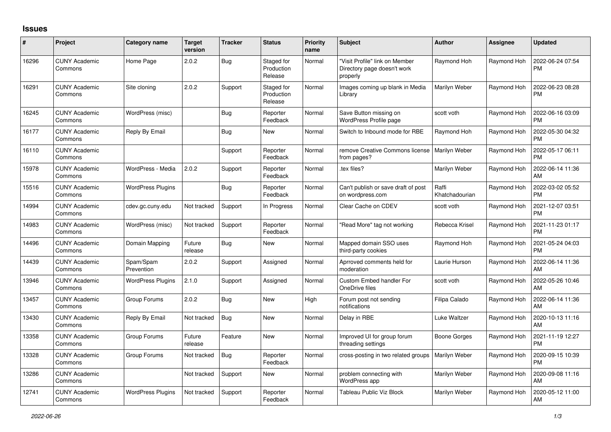## **Issues**

| #     | Project                         | Category name            | <b>Target</b><br>version | <b>Tracker</b> | <b>Status</b>                       | Priority<br>name | <b>Subject</b>                                                            | Author                  | <b>Assignee</b> | <b>Updated</b>                |
|-------|---------------------------------|--------------------------|--------------------------|----------------|-------------------------------------|------------------|---------------------------------------------------------------------------|-------------------------|-----------------|-------------------------------|
| 16296 | <b>CUNY Academic</b><br>Commons | Home Page                | 2.0.2                    | <b>Bug</b>     | Staged for<br>Production<br>Release | Normal           | "Visit Profile" link on Member<br>Directory page doesn't work<br>properly | Raymond Hoh             | Raymond Hoh     | 2022-06-24 07:54<br><b>PM</b> |
| 16291 | <b>CUNY Academic</b><br>Commons | Site cloning             | 2.0.2                    | Support        | Staged for<br>Production<br>Release | Normal           | Images coming up blank in Media<br>Library                                | Marilyn Weber           | Raymond Hoh     | 2022-06-23 08:28<br><b>PM</b> |
| 16245 | <b>CUNY Academic</b><br>Commons | WordPress (misc)         |                          | <b>Bug</b>     | Reporter<br>Feedback                | Normal           | Save Button missing on<br>WordPress Profile page                          | scott voth              | Raymond Hoh     | 2022-06-16 03:09<br><b>PM</b> |
| 16177 | <b>CUNY Academic</b><br>Commons | Reply By Email           |                          | <b>Bug</b>     | New                                 | Normal           | Switch to Inbound mode for RBE                                            | Raymond Hoh             | Raymond Hoh     | 2022-05-30 04:32<br><b>PM</b> |
| 16110 | <b>CUNY Academic</b><br>Commons |                          |                          | Support        | Reporter<br>Feedback                | Normal           | remove Creative Commons license<br>from pages?                            | Marilyn Weber           | Raymond Hoh     | 2022-05-17 06:11<br><b>PM</b> |
| 15978 | <b>CUNY Academic</b><br>Commons | WordPress - Media        | 2.0.2                    | Support        | Reporter<br>Feedback                | Normal           | tex files?                                                                | Marilyn Weber           | Raymond Hoh     | 2022-06-14 11:36<br>AM        |
| 15516 | <b>CUNY Academic</b><br>Commons | <b>WordPress Plugins</b> |                          | Bug            | Reporter<br>Feedback                | Normal           | Can't publish or save draft of post<br>on wordpress.com                   | Raffi<br>Khatchadourian | Raymond Hoh     | 2022-03-02 05:52<br><b>PM</b> |
| 14994 | <b>CUNY Academic</b><br>Commons | cdev.gc.cuny.edu         | Not tracked              | Support        | In Progress                         | Normal           | Clear Cache on CDEV                                                       | scott voth              | Raymond Hoh     | 2021-12-07 03:51<br><b>PM</b> |
| 14983 | <b>CUNY Academic</b><br>Commons | WordPress (misc)         | Not tracked              | Support        | Reporter<br>Feedback                | Normal           | "Read More" tag not working                                               | Rebecca Krisel          | Raymond Hoh     | 2021-11-23 01:17<br><b>PM</b> |
| 14496 | <b>CUNY Academic</b><br>Commons | Domain Mapping           | Future<br>release        | <b>Bug</b>     | New                                 | Normal           | Mapped domain SSO uses<br>third-party cookies                             | Raymond Hoh             | Raymond Hoh     | 2021-05-24 04:03<br><b>PM</b> |
| 14439 | <b>CUNY Academic</b><br>Commons | Spam/Spam<br>Prevention  | 2.0.2                    | Support        | Assigned                            | Normal           | Aprroved comments held for<br>moderation                                  | Laurie Hurson           | Raymond Hoh     | 2022-06-14 11:36<br>AM        |
| 13946 | <b>CUNY Academic</b><br>Commons | <b>WordPress Plugins</b> | 2.1.0                    | Support        | Assigned                            | Normal           | <b>Custom Embed handler For</b><br>OneDrive files                         | scott voth              | Raymond Hoh     | 2022-05-26 10:46<br>AM        |
| 13457 | <b>CUNY Academic</b><br>Commons | Group Forums             | 2.0.2                    | Bug            | New                                 | High             | Forum post not sending<br>notifications                                   | Filipa Calado           | Raymond Hoh     | 2022-06-14 11:36<br>AM        |
| 13430 | <b>CUNY Academic</b><br>Commons | Reply By Email           | Not tracked              | Bug            | New                                 | Normal           | Delay in RBE                                                              | Luke Waltzer            | Raymond Hoh     | 2020-10-13 11:16<br>AM        |
| 13358 | <b>CUNY Academic</b><br>Commons | Group Forums             | Future<br>release        | Feature        | <b>New</b>                          | Normal           | Improved UI for group forum<br>threading settings                         | Boone Gorges            | Raymond Hoh     | 2021-11-19 12:27<br><b>PM</b> |
| 13328 | <b>CUNY Academic</b><br>Commons | Group Forums             | Not tracked              | Bug            | Reporter<br>Feedback                | Normal           | cross-posting in two related groups                                       | Marilyn Weber           | Raymond Hoh     | 2020-09-15 10:39<br><b>PM</b> |
| 13286 | <b>CUNY Academic</b><br>Commons |                          | Not tracked              | Support        | New                                 | Normal           | problem connecting with<br>WordPress app                                  | Marilyn Weber           | Raymond Hoh     | 2020-09-08 11:16<br>AM        |
| 12741 | <b>CUNY Academic</b><br>Commons | <b>WordPress Plugins</b> | Not tracked              | Support        | Reporter<br>Feedback                | Normal           | Tableau Public Viz Block                                                  | Marilyn Weber           | Raymond Hoh     | 2020-05-12 11:00<br>AM        |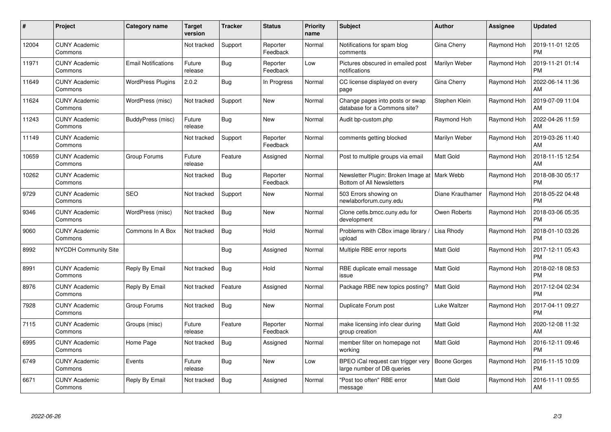| $\pmb{\#}$ | Project                         | Category name              | Target<br>version | <b>Tracker</b> | <b>Status</b>        | Priority<br>name | <b>Subject</b>                                                              | Author              | Assignee    | <b>Updated</b>                |
|------------|---------------------------------|----------------------------|-------------------|----------------|----------------------|------------------|-----------------------------------------------------------------------------|---------------------|-------------|-------------------------------|
| 12004      | <b>CUNY Academic</b><br>Commons |                            | Not tracked       | Support        | Reporter<br>Feedback | Normal           | Notifications for spam blog<br>comments                                     | Gina Cherry         | Raymond Hoh | 2019-11-01 12:05<br>PM        |
| 11971      | <b>CUNY Academic</b><br>Commons | <b>Email Notifications</b> | Future<br>release | Bug            | Reporter<br>Feedback | Low              | Pictures obscured in emailed post<br>notifications                          | Marilyn Weber       | Raymond Hoh | 2019-11-21 01:14<br><b>PM</b> |
| 11649      | <b>CUNY Academic</b><br>Commons | <b>WordPress Plugins</b>   | 2.0.2             | <b>Bug</b>     | In Progress          | Normal           | CC license displayed on every<br>page                                       | Gina Cherry         | Raymond Hoh | 2022-06-14 11:36<br>AM        |
| 11624      | <b>CUNY Academic</b><br>Commons | WordPress (misc)           | Not tracked       | Support        | <b>New</b>           | Normal           | Change pages into posts or swap<br>database for a Commons site?             | Stephen Klein       | Raymond Hoh | 2019-07-09 11:04<br>AM        |
| 11243      | <b>CUNY Academic</b><br>Commons | BuddyPress (misc)          | Future<br>release | Bug            | <b>New</b>           | Normal           | Audit bp-custom.php                                                         | Raymond Hoh         | Raymond Hoh | 2022-04-26 11:59<br>AM        |
| 11149      | <b>CUNY Academic</b><br>Commons |                            | Not tracked       | Support        | Reporter<br>Feedback | Normal           | comments getting blocked                                                    | Marilyn Weber       | Raymond Hoh | 2019-03-26 11:40<br>AM        |
| 10659      | <b>CUNY Academic</b><br>Commons | Group Forums               | Future<br>release | Feature        | Assigned             | Normal           | Post to multiple groups via email                                           | Matt Gold           | Raymond Hoh | 2018-11-15 12:54<br>AM        |
| 10262      | <b>CUNY Academic</b><br>Commons |                            | Not tracked       | Bug            | Reporter<br>Feedback | Normal           | Newsletter Plugin: Broken Image at   Mark Webb<br>Bottom of All Newsletters |                     | Raymond Hoh | 2018-08-30 05:17<br><b>PM</b> |
| 9729       | <b>CUNY Academic</b><br>Commons | <b>SEO</b>                 | Not tracked       | Support        | <b>New</b>           | Normal           | 503 Errors showing on<br>newlaborforum.cuny.edu                             | Diane Krauthamer    | Raymond Hoh | 2018-05-22 04:48<br>PM        |
| 9346       | <b>CUNY Academic</b><br>Commons | WordPress (misc)           | Not tracked       | Bug            | <b>New</b>           | Normal           | Clone cetls.bmcc.cuny.edu for<br>development                                | Owen Roberts        | Raymond Hoh | 2018-03-06 05:35<br>PM        |
| 9060       | <b>CUNY Academic</b><br>Commons | Commons In A Box           | Not tracked       | Bug            | Hold                 | Normal           | Problems with CBox image library<br>upload                                  | Lisa Rhody          | Raymond Hoh | 2018-01-10 03:26<br><b>PM</b> |
| 8992       | <b>NYCDH Community Site</b>     |                            |                   | Bug            | Assigned             | Normal           | Multiple RBE error reports                                                  | <b>Matt Gold</b>    | Raymond Hoh | 2017-12-11 05:43<br>PM        |
| 8991       | <b>CUNY Academic</b><br>Commons | Reply By Email             | Not tracked       | <b>Bug</b>     | Hold                 | Normal           | RBE duplicate email message<br>issue                                        | Matt Gold           | Raymond Hoh | 2018-02-18 08:53<br><b>PM</b> |
| 8976       | <b>CUNY Academic</b><br>Commons | Reply By Email             | Not tracked       | Feature        | Assigned             | Normal           | Package RBE new topics posting?                                             | Matt Gold           | Raymond Hoh | 2017-12-04 02:34<br><b>PM</b> |
| 7928       | <b>CUNY Academic</b><br>Commons | Group Forums               | Not tracked       | Bug            | New                  | Normal           | Duplicate Forum post                                                        | Luke Waltzer        | Raymond Hoh | 2017-04-11 09:27<br><b>PM</b> |
| 7115       | <b>CUNY Academic</b><br>Commons | Groups (misc)              | Future<br>release | Feature        | Reporter<br>Feedback | Normal           | make licensing info clear during<br>group creation                          | <b>Matt Gold</b>    | Raymond Hoh | 2020-12-08 11:32<br>AM        |
| 6995       | <b>CUNY Academic</b><br>Commons | Home Page                  | Not tracked       | Bug            | Assigned             | Normal           | member filter on homepage not<br>working                                    | <b>Matt Gold</b>    | Raymond Hoh | 2016-12-11 09:46<br><b>PM</b> |
| 6749       | <b>CUNY Academic</b><br>Commons | Events                     | Future<br>release | Bug            | <b>New</b>           | Low              | BPEO iCal request can trigger very<br>large number of DB queries            | <b>Boone Gorges</b> | Raymond Hoh | 2016-11-15 10:09<br><b>PM</b> |
| 6671       | <b>CUNY Academic</b><br>Commons | Reply By Email             | Not tracked       | Bug            | Assigned             | Normal           | "Post too often" RBE error<br>message                                       | Matt Gold           | Raymond Hoh | 2016-11-11 09:55<br>AM        |